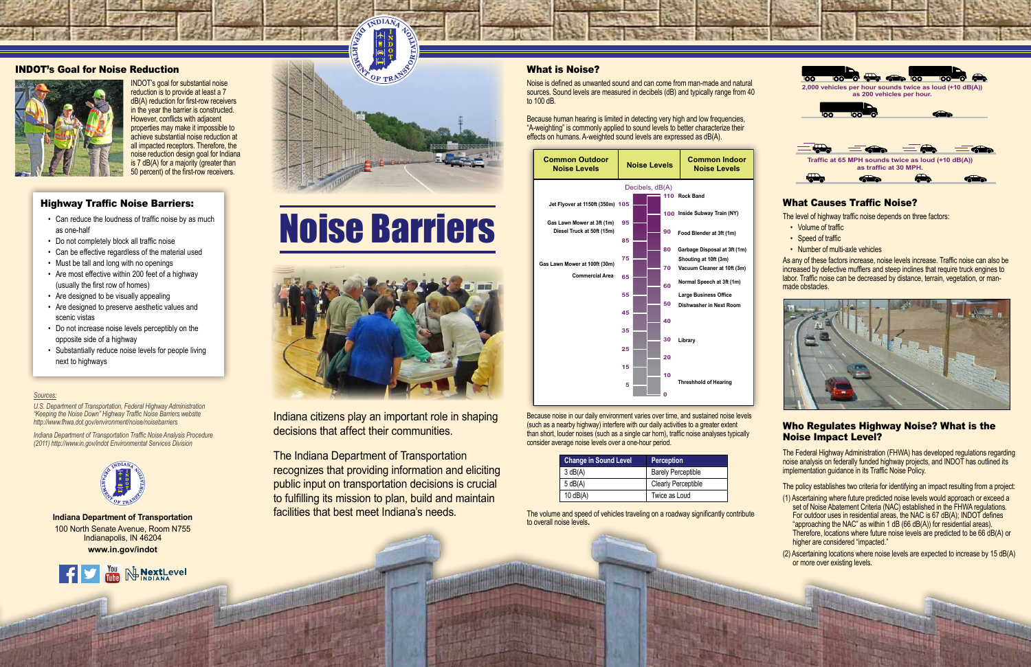## INDOT's Goal for Noise Reduction



INDOT's goal for substantial noise reduction is to provide at least a 7 dB(A) reduction for first-row receivers in the year the barrier is constructed. However, conflicts with adjacent properties may make it impossible to achieve substantial noise reduction at all impacted receptors. Therefore, the noise reduction design goal for Indiana is 7 dB(A) for a majority (greater than 50 percent) of the first-row receivers.

## What is Noise?

Noise is defined as unwanted sound and can come from man-made and natural sources. Sound levels are measured in decibels (dB) and typically range from 40 to 100 dB.

Because human hearing is limited in detecting very high and low frequencies, "A-weighting" is commonly applied to sound levels to better characterize their effects on humans. A-weighted sound levels are expressed as dB(A).



- Volume of traffic
- Speed of traffic
- Number of multi-axle vehicles

Because noise in our daily environment varies over time, and sustained noise levels (such as a nearby highway) interfere with our daily activities to a greater extent than short, louder noises (such as a single car horn), traffic noise analyses typically consider average noise levels over a one-hour period.

| <b>Change in Sound Level</b> | <b>Perception</b>          |
|------------------------------|----------------------------|
| 3 dB(A)                      | <b>Barely Perceptible</b>  |
| 5 dB(A)                      | <b>Clearly Perceptible</b> |
| $10$ dB(A)                   | Twice as Loud              |

The volume and speed of vehicles traveling on a roadway significantly contribute to overall noise levels**.** 



## Highway Traffic Noise Barriers:

- Can reduce the loudness of traffic noise by as much as one-half
- Do not completely block all traffic noise
- Can be effective regardless of the material used
- Must be tall and long with no openings
- Are most effective within 200 feet of a highway (usually the first row of homes)
- Are designed to be visually appealing
- Are designed to preserve aesthetic values and scenic vistas
- Do not increase noise levels perceptibly on the opposite side of a highway
- Substantially reduce noise levels for people living next to highways

#### *Sources:*

*U.S. Department of Transportation, Federal Highway Administration "Keeping the Noise Down" Highway Traffic Noise Barriers website http://www.fhwa.dot.gov/environment/noise/noisebarriers* 

*Indiana Department of Transportation Traffic Noise Analysis Procedure (2011) http://www.in.gov/indot Environmental Services Division* 



# What Causes Traffic Noise?

The level of highway traffic noise depends on three factors:

As any of these factors increase, noise levels increase. Traffic noise can also be increased by defective mufflers and steep inclines that require truck engines to labor. Traffic noise can be decreased by distance, terrain, vegetation, or manmade obstacles.



## Who Regulates Highway Noise? What is the Noise Impact Level?

The Federal Highway Administration (FHWA) has developed regulations regarding noise analysis on federally funded highway projects, and INDOT has outlined its implementation guidance in its Traffic Noise Policy.

The policy establishes two criteria for identifying an impact resulting from a project:

- (1) Ascertaining where future predicted noise levels would approach or exceed a set of Noise Abatement Criteria (NAC) established in the FHWA regulations. For outdoor uses in residential areas, the NAC is 67 dB(A); INDOT defines "approaching the NAC" as within 1 dB (66 dB(A)) for residential areas). Therefore, locations where future noise levels are predicted to be 66 dB(A) or higher are considered "impacted."
- (2) Ascertaining locations where noise levels are expected to increase by 15 dB(A) or more over existing levels.



Indiana citizens play an important role in shaping decisions that affect their communities.

The Indiana Department of Transportation recognizes that providing information and eliciting public input on transportation decisions is crucial to fulfilling its mission to plan, build and maintain facilities that best meet Indiana's needs. **Indiana Department of Transportation**

100 North Senate Avenue, Room N755 Indianapolis, IN 46204 **www.in.gov/indot**





# Noise Barriers